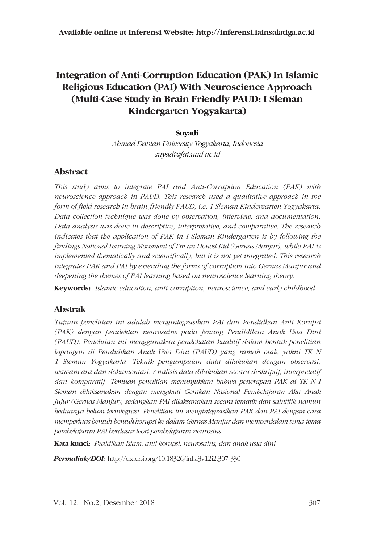# **Integration of Anti-Corruption Education (PAK) In Islamic Religious Education (PAI) With Neuroscience Approach (Multi-Case Study in Brain Friendly PAUD: I Sleman Kindergarten Yogyakarta)**

#### **Suyadi**

*Ahmad Dahlan University Yogyakarta, Indonesia suyadi@fai.uad.ac.id* 

#### **Abstract**

*This study aims to integrate PAI and Anti-Corruption Education (PAK) with neuroscience approach in PAUD. This research used a qualitative approach in the form of field research in brain-friendly PAUD, i.e. 1 Sleman Kindergarten Yogyakarta. Data collection technique was done by observation, interview, and documentation. Data analysis was done in descriptive, interpretative, and comparative. The research indicates that the application of PAK in I Sleman Kindergarten is by following the findings National Learning Movement of I'm an Honest Kid (Gernas Manjur), while PAI is implemented thematically and scientifically, but it is not yet integrated. This research integrates PAK and PAI by extending the forms of corruption into Gernas Manjur and deepening the themes of PAI learning based on neuroscience learning theory.*

**Keywords:** *Islamic education, anti-corruption, neuroscience, and early childhood*

#### **Abstrak**

*Tujuan penelitian ini adalah mengintegrasikan PAI dan Pendidkan Anti Korupsi (PAK) dengan pendektan neurosains pada jenang Pendidikan Anak Usia Dini (PAUD). Penelitian ini menggunakan pendekatan kualitif dalam bentuk penelitian lapangan di Pendidikan Anak Usia Dini (PAUD) yang ramah otak, yakni TK N 1 Sleman Yogyakarta. Teknik pengumpulan data dilakukan dengan observasi, wawancara dan dokumentasi. Analisis data dilakukan secara deskriptif, interpretatif dan komparatif. Temuan penelitian menunjukkan bahwa penerapan PAK di TK N I Sleman dilaksanakan dengan mengikuti Gerakan Nasional Pembelajaran Aku Anak Jujur (Gernas Manjur), sedangkan PAI dilaksanakan secara tematik dan saintifik namun keduanya belum terintegrasi. Penelitian ini mengintegrasikan PAK dan PAI dengan cara memperluas bentuk-bentuk korupsi ke dalam Gernas Manjur dan memperdalam tema-tema pembelajaran PAI berdasar teori pembelajaran neurosins.*

**Kata kunci:** *Pedidikan Islam, anti korupsi, neurosains, dan anak usia dini*

*Permalink/DOI:* http://dx.doi.org/10.18326/infsl3v12i2.307-330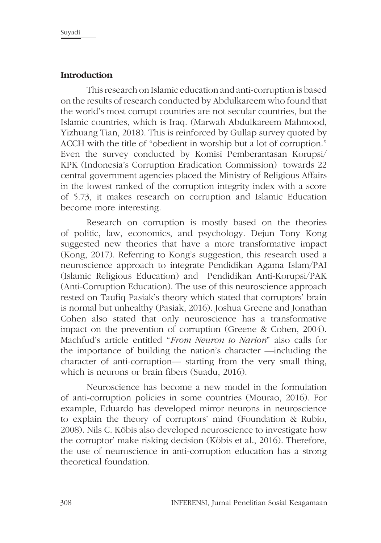### **Introduction**

This research on Islamic education and anti-corruption is based on the results of research conducted by Abdulkareem who found that the world's most corrupt countries are not secular countries, but the Islamic countries, which is Iraq. (Marwah Abdulkareem Mahmood, Yizhuang Tian, 2018). This is reinforced by Gullap survey quoted by ACCH with the title of "obedient in worship but a lot of corruption." Even the survey conducted by Komisi Pemberantasan Korupsi/ KPK (Indonesia's Corruption Eradication Commission) towards 22 central government agencies placed the Ministry of Religious Affairs in the lowest ranked of the corruption integrity index with a score of 5.73, it makes research on corruption and Islamic Education become more interesting.

Research on corruption is mostly based on the theories of politic, law, economics, and psychology. Dejun Tony Kong suggested new theories that have a more transformative impact (Kong, 2017). Referring to Kong's suggestion, this research used a neuroscience approach to integrate Pendidikan Agama Islam/PAI (Islamic Religious Education) and Pendidikan Anti-Korupsi/PAK (Anti-Corruption Education). The use of this neuroscience approach rested on Taufiq Pasiak's theory which stated that corruptors' brain is normal but unhealthy (Pasiak, 2016). Joshua Greene and Jonathan Cohen also stated that only neuroscience has a transformative impact on the prevention of corruption (Greene & Cohen, 2004). Machfud's article entitled "*From Neuron to Narion*" also calls for the importance of building the nation's character —including the character of anti-corruption— starting from the very small thing, which is neurons or brain fibers (Suadu, 2016).

Neuroscience has become a new model in the formulation of anti-corruption policies in some countries (Mourao, 2016). For example, Eduardo has developed mirror neurons in neuroscience to explain the theory of corruptors' mind (Foundation & Rubio, 2008). Nils C. Köbis also developed neuroscience to investigate how the corruptor' make risking decision (Köbis et al., 2016). Therefore, the use of neuroscience in anti-corruption education has a strong theoretical foundation.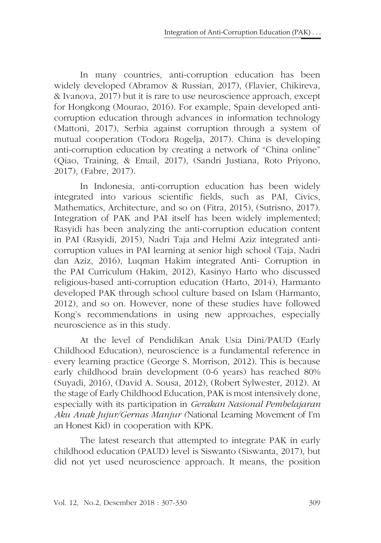In many countries, anti-corruption education has been widely developed (Abramov & Russian, 2017), (Flavier, Chikireva, & Ivanova, 2017) but it is rare to use neuroscience approach, except for Hongkong (Mourao, 2016). For example, Spain developed anticorruption education through advances in information technology (Mattoni, 2017), Serbia against corruption through a system of mutual cooperation (Todora Rogelja, 2017). China is developing anti-corruption education by creating a network of "China online" (Qiao, Training, & Email, 2017), (Sandri Justiana, Roto Priyono, 2017), (Fabre, 2017).

In Indonesia, anti-corruption education has been widely integrated into various scientific fields, such as PAI, Civics, Mathematics, Architecture, and so on (Fitra, 2015), (Sutrisno, 2017). Integration of PAK and PAI itself has been widely implemented; Rasyidi has been analyzing the anti-corruption education content in PAI (Rasyidi, 2015), Nadri Taja and Helmi Aziz integrated anticorruption values in PAI learning at senior high school (Taja, Nadri dan Aziz, 2016), Luqman Hakim integrated Anti- Corruption in the PAI Curriculum (Hakim, 2012), Kasinyo Harto who discussed religious-based anti-corruption education (Harto, 2014), Harmanto developed PAK through school culture based on Islam (Harmanto, 2012), and so on. However, none of these studies have followed Kong's recommendations in using new approaches, especially neuroscience as in this study.

At the level of Pendidikan Anak Usia Dini/PAUD (Early Childhood Education), neuroscience is a fundamental reference in every learning practice (George S. Morrison, 2012). This is because early childhood brain development (0-6 years) has reached 80% (Suyadi, 2016), (David A. Sousa, 2012), (Robert Sylwester, 2012). At the stage of Early Childhood Education, PAK is most intensively done, especially with its participation in *Gerakan Nasional Pembelajaran Aku Anak Jujur/Gernas Manjur (*National Learning Movement of I'm an Honest Kid) in cooperation with KPK.

The latest research that attempted to integrate PAK in early childhood education (PAUD) level is Siswanto (Siswanta, 2017), but did not yet used neuroscience approach. It means, the position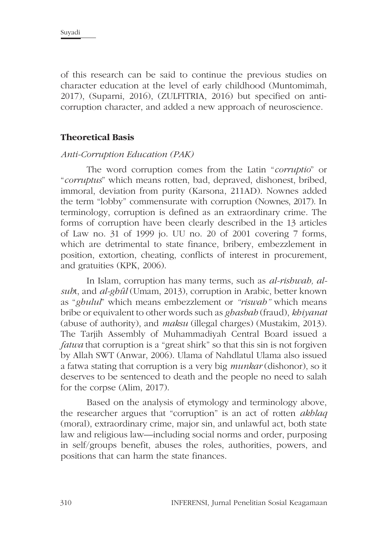of this research can be said to continue the previous studies on character education at the level of early childhood (Muntomimah, 2017), (Suparni, 2016), (ZULFITRIA, 2016) but specified on anticorruption character, and added a new approach of neuroscience.

#### **Theoretical Basis**

#### *Anti-Corruption Education (PAK)*

The word corruption comes from the Latin "*corruptio*" or "*corruptus*" which means rotten, bad, depraved, dishonest, bribed, immoral, deviation from purity (Karsona, 211AD). Nownes added the term "lobby" commensurate with corruption (Nownes, 2017). In terminology, corruption is defined as an extraordinary crime. The forms of corruption have been clearly described in the 13 articles of Law no. 31 of 1999 jo. UU no. 20 of 2001 covering 7 forms, which are detrimental to state finance, bribery, embezzlement in position, extortion, cheating, conflicts of interest in procurement, and gratuities (KPK, 2006).

In Islam, corruption has many terms, such as *al-rishwah, alsuh*t, and *al-ghûl* (Umam, 2013), corruption in Arabic, better known as "*ghulul*" which means embezzlement or *"riswah"* which means bribe or equivalent to other words such as *ghasbah* (fraud), *khiyanat* (abuse of authority), and *maksu* (illegal charges) (Mustakim, 2013). The Tarjih Assembly of Muhammadiyah Central Board issued a *fatwa* that corruption is a "great shirk" so that this sin is not forgiven by Allah SWT (Anwar, 2006). Ulama of Nahdlatul Ulama also issued a fatwa stating that corruption is a very big *munkar* (dishonor), so it deserves to be sentenced to death and the people no need to salah for the corpse (Alim, 2017).

Based on the analysis of etymology and terminology above, the researcher argues that "corruption" is an act of rotten *akhlaq* (moral), extraordinary crime, major sin, and unlawful act, both state law and religious law—including social norms and order, purposing in self/groups benefit, abuses the roles, authorities, powers, and positions that can harm the state finances.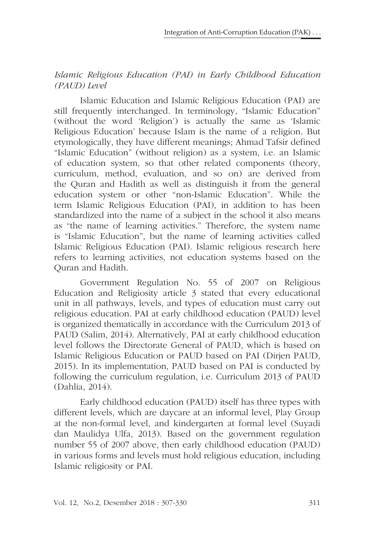# *Islamic Religious Education (PAI) in Early Childhood Education (PAUD) Level*

Islamic Education and Islamic Religious Education (PAI) are still frequently interchanged. In terminology, "Islamic Education" (without the word 'Religion') is actually the same as 'Islamic Religious Education' because Islam is the name of a religion. But etymologically, they have different meanings; Ahmad Tafsir defined "Islamic Education" (without religion) as a system, i.e. an Islamic of education system, so that other related components (theory, curriculum, method, evaluation, and so on) are derived from the Quran and Hadith as well as distinguish it from the general education system or other "non-Islamic Education". While the term Islamic Religious Education (PAI), in addition to has been standardized into the name of a subject in the school it also means as "the name of learning activities." Therefore, the system name is "Islamic Education", but the name of learning activities called Islamic Religious Education (PAI). Islamic religious research here refers to learning activities, not education systems based on the Quran and Hadith.

Government Regulation No. 55 of 2007 on Religious Education and Religiosity article 3 stated that every educational unit in all pathways, levels, and types of education must carry out religious education. PAI at early childhood education (PAUD) level is organized thematically in accordance with the Curriculum 2013 of PAUD (Salim, 2014). Alternatively, PAI at early childhood education level follows the Directorate General of PAUD, which is based on Islamic Religious Education or PAUD based on PAI (Dirjen PAUD, 2015). In its implementation, PAUD based on PAI is conducted by following the curriculum regulation, i.e. Curriculum 2013 of PAUD (Dahlia, 2014).

Early childhood education (PAUD) itself has three types with different levels, which are daycare at an informal level, Play Group at the non-formal level, and kindergarten at formal level (Suyadi dan Maulidya Ulfa, 2013). Based on the government regulation number 55 of 2007 above, then early childhood education (PAUD) in various forms and levels must hold religious education, including Islamic religiosity or PAI.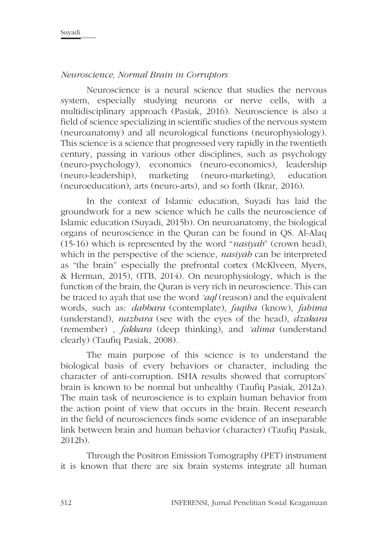### *Neuroscience, Normal Brain in Corruptors*

Neuroscience is a neural science that studies the nervous system, especially studying neurons or nerve cells, with a multidisciplinary approach (Pasiak, 2016). Neuroscience is also a field of science specializing in scientific studies of the nervous system (neuroanatomy) and all neurological functions (neurophysiology). This science is a science that progressed very rapidly in the twentieth century, passing in various other disciplines, such as psychology (neuro-psychology), economics (neuro-economics), leadership (neuro-leadership), marketing (neuro-marketing), education (neuroeducation), arts (neuro-arts), and so forth (Ikrar, 2016).

In the context of Islamic education, Suyadi has laid the groundwork for a new science which he calls the neuroscience of Islamic education (Suyadi, 2015b). On neuroanatomy, the biological organs of neuroscience in the Quran can be found in QS. Al-Alaq (15-16) which is represented by the word "*nasiyah*" (crown head), which in the perspective of the science, *nasiyah* can be interpreted as "the brain" especially the prefrontal cortex (McKlveen, Myers, & Herman, 2015), (ITB, 2014). On neurophysiology, which is the function of the brain, the Quran is very rich in neuroscience. This can be traced to ayah that use the word *'aql* (reason) and the equivalent words, such as: *dabbara* (contemplate), *faqiha* (know), *fahima* (understand), *nazhara* (see with the eyes of the head), *dzakara* (remember) , *fakkara* (deep thinking), and *'alima* (understand clearly) (Taufiq Pasiak, 2008)*.*

The main purpose of this science is to understand the biological basis of every behaviors or character, including the character of anti-corruption. ISHA results showed that corruptors' brain is known to be normal but unhealthy (Taufiq Pasiak, 2012a). The main task of neuroscience is to explain human behavior from the action point of view that occurs in the brain. Recent research in the field of neurosciences finds some evidence of an inseparable link between brain and human behavior (character) (Taufiq Pasiak, 2012b).

Through the Positron Emission Tomography (PET) instrument it is known that there are six brain systems integrate all human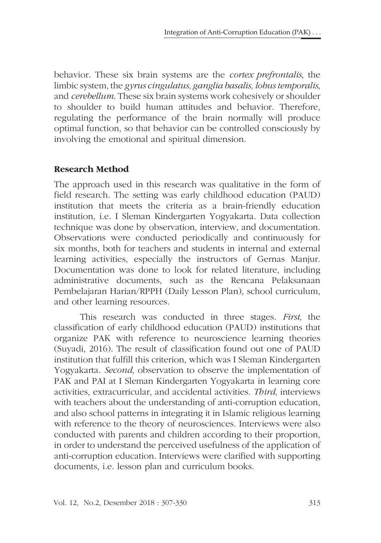behavior. These six brain systems are the *cortex prefrontalis*, the limbic system, the *gyrus cingulatus, ganglia basalis, lobus temporalis*, and *cerebellum*. These six brain systems work cohesively or shoulder to shoulder to build human attitudes and behavior. Therefore, regulating the performance of the brain normally will produce optimal function, so that behavior can be controlled consciously by involving the emotional and spiritual dimension.

## **Research Method**

The approach used in this research was qualitative in the form of field research. The setting was early childhood education (PAUD) institution that meets the criteria as a brain-friendly education institution, i.e. I Sleman Kindergarten Yogyakarta. Data collection technique was done by observation, interview, and documentation. Observations were conducted periodically and continuously for six months, both for teachers and students in internal and external learning activities, especially the instructors of Gernas Manjur. Documentation was done to look for related literature, including administrative documents, such as the Rencana Pelaksanaan Pembelajaran Harian/RPPH (Daily Lesson Plan), school curriculum, and other learning resources.

This research was conducted in three stages. *First*, the classification of early childhood education (PAUD) institutions that organize PAK with reference to neuroscience learning theories (Suyadi, 2016). The result of classification found out one of PAUD institution that fulfill this criterion, which was I Sleman Kindergarten Yogyakarta. *Second*, observation to observe the implementation of PAK and PAI at I Sleman Kindergarten Yogyakarta in learning core activities, extracurricular, and accidental activities. *Third*, interviews with teachers about the understanding of anti-corruption education, and also school patterns in integrating it in Islamic religious learning with reference to the theory of neurosciences. Interviews were also conducted with parents and children according to their proportion, in order to understand the perceived usefulness of the application of anti-corruption education. Interviews were clarified with supporting documents, i.e. lesson plan and curriculum books.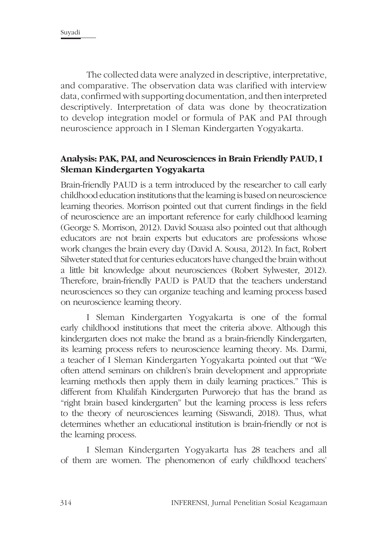The collected data were analyzed in descriptive, interpretative, and comparative. The observation data was clarified with interview data, confirmed with supporting documentation, and then interpreted descriptively. Interpretation of data was done by theocratization to develop integration model or formula of PAK and PAI through neuroscience approach in I Sleman Kindergarten Yogyakarta.

# **Analysis: PAK, PAI, and Neurosciences in Brain Friendly PAUD, I Sleman Kindergarten Yogyakarta**

Brain-friendly PAUD is a term introduced by the researcher to call early childhood education institutions that the learning is based on neuroscience learning theories. Morrison pointed out that current findings in the field of neuroscience are an important reference for early childhood learning (George S. Morrison, 2012). David Souasa also pointed out that although educators are not brain experts but educators are professions whose work changes the brain every day (David A. Sousa, 2012). In fact, Robert Silweter stated that for centuries educators have changed the brain without a little bit knowledge about neurosciences (Robert Sylwester, 2012). Therefore, brain-friendly PAUD is PAUD that the teachers understand neurosciences so they can organize teaching and learning process based on neuroscience learning theory.

I Sleman Kindergarten Yogyakarta is one of the formal early childhood institutions that meet the criteria above. Although this kindergarten does not make the brand as a brain-friendly Kindergarten, its learning process refers to neuroscience learning theory. Ms. Darmi, a teacher of I Sleman Kindergarten Yogyakarta pointed out that "We often attend seminars on children's brain development and appropriate learning methods then apply them in daily learning practices." This is different from Khalifah Kindergarten Purworejo that has the brand as "right brain based kindergarten" but the learning process is less refers to the theory of neurosciences learning (Siswandi, 2018). Thus, what determines whether an educational institution is brain-friendly or not is the learning process.

I Sleman Kindergarten Yogyakarta has 28 teachers and all of them are women. The phenomenon of early childhood teachers'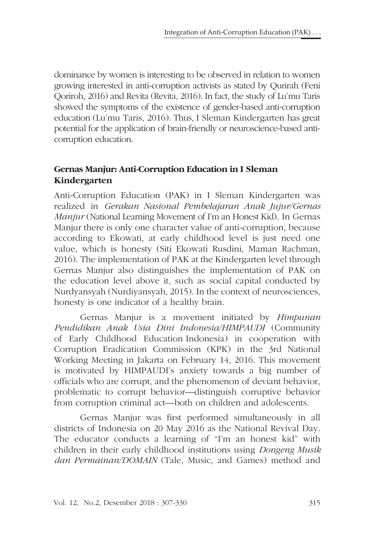dominance by women is interesting to be observed in relation to women growing interested in anti-corruption activists as stated by Qurirah (Feni Qoriroh, 2016) and Revita (Revita, 2016). In fact, the study of Lu'mu Taris showed the symptoms of the existence of gender-based anti-corruption education (Lu'mu Taris, 2016). Thus, I Sleman Kindergarten has great potential for the application of brain-friendly or neuroscience-based anticorruption education.

# **Gernas Manjur: Anti-Corruption Education in I Sleman Kindergarten**

Anti-Corruption Education (PAK) in I Sleman Kindergarten was realized in *Gerakan Nasional Pembelajaran Anak Jujur/Gernas Manjur* (National Learning Movement of I'm an Honest Kid). In Gernas Manjur there is only one character value of anti-corruption, because according to Ekowati, at early childhood level is just need one value, which is honesty (Siti Ekowati Rusdini, Maman Rachman, 2016). The implementation of PAK at the Kindergarten level through Gernas Manjur also distinguishes the implementation of PAK on the education level above it, such as social capital conducted by Nurdyansyah (Nurdiyansyah, 2015). In the context of neurosciences, honesty is one indicator of a healthy brain.

Gernas Manjur is a movement initiated by *Himpunan Pendidikan Anak Usia Dini Indonesia/HIMPAUDI* (Community of Early Childhood Education Indonesia) in cooperation with Corruption Eradication Commission (KPK) in the 3rd National Working Meeting in Jakarta on February 14, 2016. This movement is motivated by HIMPAUDI's anxiety towards a big number of officials who are corrupt, and the phenomenon of deviant behavior, problematic to corrupt behavior—distinguish corruptive behavior from corruption criminal act—both on children and adolescents.

Gernas Manjur was first performed simultaneously in all districts of Indonesia on 20 May 2016 as the National Revival Day. The educator conducts a learning of "I'm an honest kid" with children in their early childhood institutions using *Dongeng Musik dan Permainan/DOMAIN* (Tale, Music, and Games) method and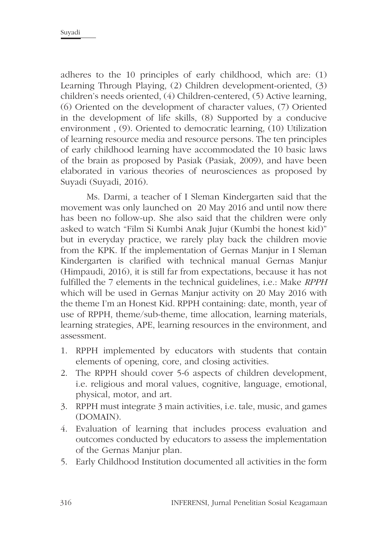adheres to the 10 principles of early childhood, which are: (1) Learning Through Playing, (2) Children development-oriented, (3) children's needs oriented, (4) Children-centered, (5) Active learning, (6) Oriented on the development of character values, (7) Oriented in the development of life skills, (8) Supported by a conducive environment , (9). Oriented to democratic learning, (10) Utilization of learning resource media and resource persons. The ten principles of early childhood learning have accommodated the 10 basic laws of the brain as proposed by Pasiak (Pasiak, 2009), and have been elaborated in various theories of neurosciences as proposed by Suyadi (Suyadi, 2016).

Ms. Darmi, a teacher of I Sleman Kindergarten said that the movement was only launched on 20 May 2016 and until now there has been no follow-up. She also said that the children were only asked to watch "Film Si Kumbi Anak Jujur (Kumbi the honest kid)" but in everyday practice, we rarely play back the children movie from the KPK. If the implementation of Gernas Manjur in I Sleman Kindergarten is clarified with technical manual Gernas Manjur (Himpaudi, 2016), it is still far from expectations, because it has not fulfilled the 7 elements in the technical guidelines, i.e.: Make *RPPH*  which will be used in Gernas Manjur activity on 20 May 2016 with the theme I'm an Honest Kid. RPPH containing: date, month, year of use of RPPH, theme/sub-theme, time allocation, learning materials, learning strategies, APE, learning resources in the environment, and assessment.

- 1. RPPH implemented by educators with students that contain elements of opening, core, and closing activities.
- 2. The RPPH should cover 5-6 aspects of children development, i.e. religious and moral values, cognitive, language, emotional, physical, motor, and art.
- 3. RPPH must integrate 3 main activities, i.e. tale, music, and games (DOMAIN).
- 4. Evaluation of learning that includes process evaluation and outcomes conducted by educators to assess the implementation of the Gernas Manjur plan.
- 5. Early Childhood Institution documented all activities in the form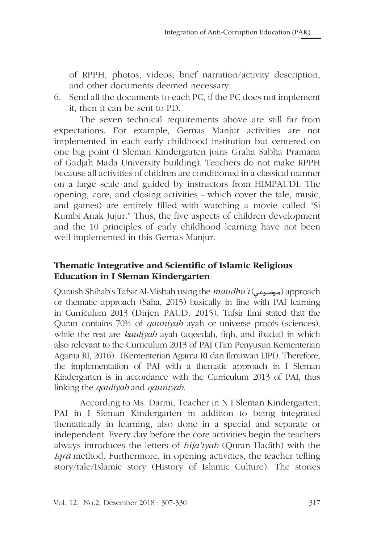of RPPH, photos, videos, brief narration/activity description, and other documents deemed necessary.

6. Send all the documents to each PC, if the PC does not implement it, then it can be sent to PD.

The seven technical requirements above are still far from expectations. For example, Gernas Manjur activities are not implemented in each early childhood institution but centered on one big point (I Sleman Kindergarten joins Graha Sabha Pramana of Gadjah Mada University building). Teachers do not make RPPH because all activities of children are conditioned in a classical manner on a large scale and guided by instructors from HIMPAUDI. The opening, core, and closing activities - which cover the tale, music, and games) are entirely filled with watching a movie called "Si Kumbi Anak Jujur." Thus, the five aspects of children development and the 10 principles of early childhood learning have not been well implemented in this Gernas Manjur.

# **Thematic Integrative and Scientific of Islamic Religious Education in I Sleman Kindergarten**

Quraish Shihab's Tafsir Al-Misbah using the *maudhu'i* (موضوعی) approach or thematic approach (Saha, 2015) basically in line with PAI learning in Curriculum 2013 (Dirjen PAUD, 2015). Tafsir Ilmi stated that the Quran contains 70% of *qauniyah* ayah or universe proofs (sciences), while the rest are *kauliyah* ayah (aqeedah, fiqh, and ibadat) in which also relevant to the Curriculum 2013 of PAI (Tim Penyusun Kementerian Agama RI, 2016). (Kementerian Agama RI dan Ilmuwan LIPI). Therefore, the implementation of PAI with a thematic approach in I Sleman Kindergarten is in accordance with the Curriculum 2013 of PAI, thus linking the *qauliyah* and *qauniyah*.

According to Ms. Darmi, Teacher in N I Sleman Kindergarten, PAI in I Sleman Kindergarten in addition to being integrated thematically in learning, also done in a special and separate or independent. Every day before the core activities begin the teachers always introduces the letters of *hija'iyah* (Quran Hadith) with the *Iqra* method. Furthermore, in opening activities, the teacher telling story/tale/Islamic story (History of Islamic Culture). The stories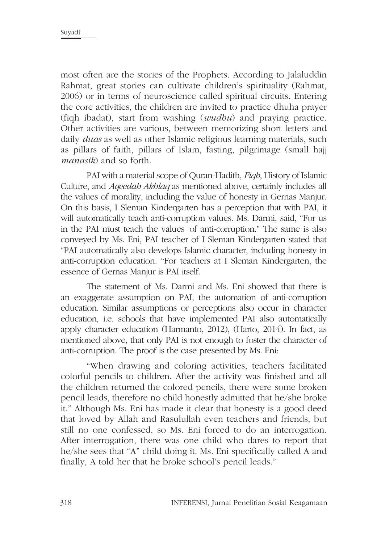most often are the stories of the Prophets. According to Jalaluddin Rahmat, great stories can cultivate children's spirituality (Rahmat, 2006) or in terms of neuroscience called spiritual circuits. Entering the core activities, the children are invited to practice dhuha prayer (fiqh ibadat), start from washing (*wudhu*) and praying practice. Other activities are various, between memorizing short letters and daily *duas* as well as other Islamic religious learning materials, such as pillars of faith, pillars of Islam, fasting, pilgrimage (small hajj *manasik*) and so forth.

PAI with a material scope of Quran-Hadith, *Fiqh*, History of Islamic Culture, and *Aqeedah Akhlaq* as mentioned above, certainly includes all the values of morality, including the value of honesty in Gernas Manjur. On this basis, I Sleman Kindergarten has a perception that with PAI, it will automatically teach anti-corruption values. Ms. Darmi, said, "For us in the PAI must teach the values of anti-corruption." The same is also conveyed by Ms. Eni, PAI teacher of I Sleman Kindergarten stated that "PAI automatically also develops Islamic character, including honesty in anti-corruption education. "For teachers at I Sleman Kindergarten, the essence of Gernas Manjur is PAI itself.

The statement of Ms. Darmi and Ms. Eni showed that there is an exaggerate assumption on PAI, the automation of anti-corruption education. Similar assumptions or perceptions also occur in character education, i.e. schools that have implemented PAI also automatically apply character education (Harmanto, 2012), (Harto, 2014). In fact, as mentioned above, that only PAI is not enough to foster the character of anti-corruption. The proof is the case presented by Ms. Eni:

"When drawing and coloring activities, teachers facilitated colorful pencils to children. After the activity was finished and all the children returned the colored pencils, there were some broken pencil leads, therefore no child honestly admitted that he/she broke it." Although Ms. Eni has made it clear that honesty is a good deed that loved by Allah and Rasulullah even teachers and friends, but still no one confessed, so Ms. Eni forced to do an interrogation. After interrogation, there was one child who dares to report that he/she sees that "A" child doing it. Ms. Eni specifically called A and finally, A told her that he broke school's pencil leads."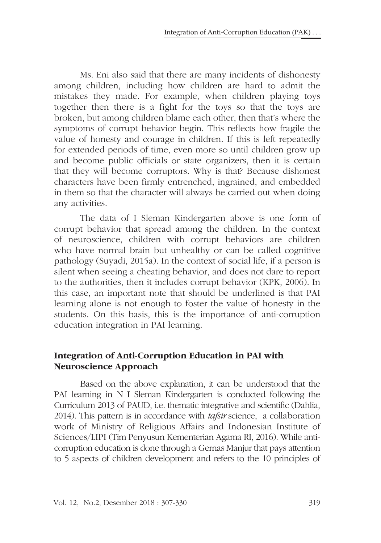Ms. Eni also said that there are many incidents of dishonesty among children, including how children are hard to admit the mistakes they made. For example, when children playing toys together then there is a fight for the toys so that the toys are broken, but among children blame each other, then that's where the symptoms of corrupt behavior begin. This reflects how fragile the value of honesty and courage in children. If this is left repeatedly for extended periods of time, even more so until children grow up and become public officials or state organizers, then it is certain that they will become corruptors. Why is that? Because dishonest characters have been firmly entrenched, ingrained, and embedded in them so that the character will always be carried out when doing any activities.

The data of I Sleman Kindergarten above is one form of corrupt behavior that spread among the children. In the context of neuroscience, children with corrupt behaviors are children who have normal brain but unhealthy or can be called cognitive pathology (Suyadi, 2015a). In the context of social life, if a person is silent when seeing a cheating behavior, and does not dare to report to the authorities, then it includes corrupt behavior (KPK, 2006). In this case, an important note that should be underlined is that PAI learning alone is not enough to foster the value of honesty in the students. On this basis, this is the importance of anti-corruption education integration in PAI learning.

### **Integration of Anti-Corruption Education in PAI with Neuroscience Approach**

Based on the above explanation, it can be understood that the PAI learning in N I Sleman Kindergarten is conducted following the Curriculum 2013 of PAUD, i.e. thematic integrative and scientific (Dahlia, 2014). This pattern is in accordance with *tafsir* science, a collaboration work of Ministry of Religious Affairs and Indonesian Institute of Sciences/LIPI (Tim Penyusun Kementerian Agama RI, 2016). While anticorruption education is done through a Gernas Manjur that pays attention to 5 aspects of children development and refers to the 10 principles of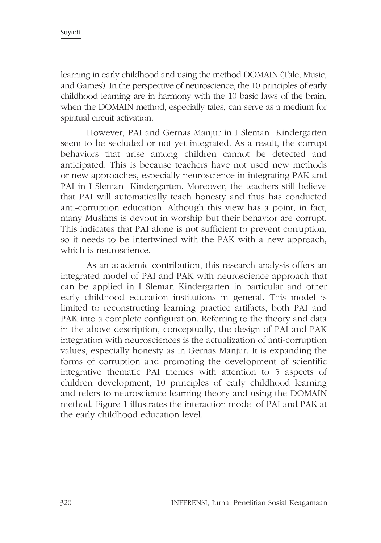learning in early childhood and using the method DOMAIN (Tale, Music, and Games). In the perspective of neuroscience, the 10 principles of early childhood learning are in harmony with the 10 basic laws of the brain, when the DOMAIN method, especially tales, can serve as a medium for spiritual circuit activation.

However, PAI and Gernas Manjur in I Sleman Kindergarten seem to be secluded or not yet integrated. As a result, the corrupt behaviors that arise among children cannot be detected and anticipated. This is because teachers have not used new methods or new approaches, especially neuroscience in integrating PAK and PAI in I Sleman Kindergarten. Moreover, the teachers still believe that PAI will automatically teach honesty and thus has conducted anti-corruption education. Although this view has a point, in fact, many Muslims is devout in worship but their behavior are corrupt. This indicates that PAI alone is not sufficient to prevent corruption, so it needs to be intertwined with the PAK with a new approach, which is neuroscience.

As an academic contribution, this research analysis offers an integrated model of PAI and PAK with neuroscience approach that can be applied in I Sleman Kindergarten in particular and other early childhood education institutions in general. This model is limited to reconstructing learning practice artifacts, both PAI and PAK into a complete configuration. Referring to the theory and data in the above description, conceptually, the design of PAI and PAK integration with neurosciences is the actualization of anti-corruption values, especially honesty as in Gernas Manjur. It is expanding the forms of corruption and promoting the development of scientific integrative thematic PAI themes with attention to 5 aspects of children development, 10 principles of early childhood learning and refers to neuroscience learning theory and using the DOMAIN method. Figure 1 illustrates the interaction model of PAI and PAK at the early childhood education level.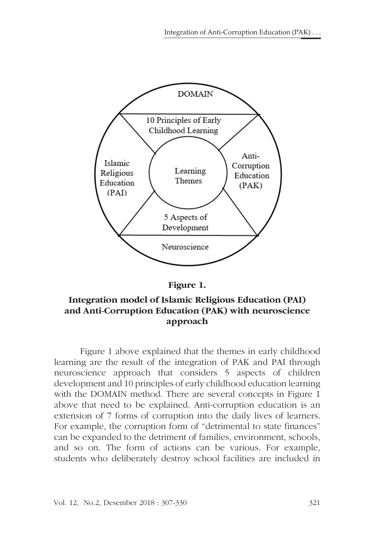



## **Integration model of Islamic Religious Education (PAI) and Anti-Corruption Education (PAK) with neuroscience approach**

Figure 1 above explained that the themes in early childhood learning are the result of the integration of PAK and PAI through neuroscience approach that considers 5 aspects of children development and 10 principles of early childhood education learning with the DOMAIN method. There are several concepts in Figure 1 above that need to be explained. Anti-corruption education is an extension of 7 forms of corruption into the daily lives of learners. For example, the corruption form of "detrimental to state finances" can be expanded to the detriment of families, environment, schools, and so on. The form of actions can be various. For example, students who deliberately destroy school facilities are included in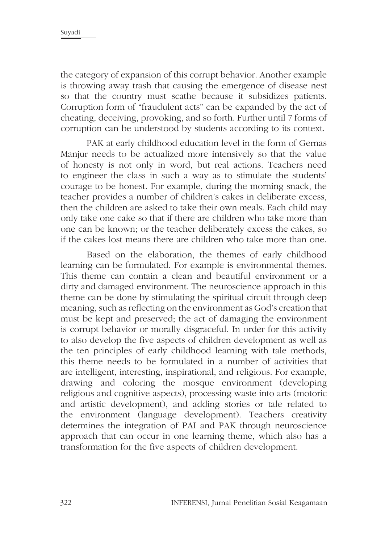the category of expansion of this corrupt behavior. Another example is throwing away trash that causing the emergence of disease nest so that the country must scathe because it subsidizes patients. Corruption form of "fraudulent acts" can be expanded by the act of cheating, deceiving, provoking, and so forth. Further until 7 forms of corruption can be understood by students according to its context.

PAK at early childhood education level in the form of Gernas Manjur needs to be actualized more intensively so that the value of honesty is not only in word, but real actions. Teachers need to engineer the class in such a way as to stimulate the students' courage to be honest. For example, during the morning snack, the teacher provides a number of children's cakes in deliberate excess, then the children are asked to take their own meals. Each child may only take one cake so that if there are children who take more than one can be known; or the teacher deliberately excess the cakes, so if the cakes lost means there are children who take more than one.

Based on the elaboration, the themes of early childhood learning can be formulated. For example is environmental themes. This theme can contain a clean and beautiful environment or a dirty and damaged environment. The neuroscience approach in this theme can be done by stimulating the spiritual circuit through deep meaning, such as reflecting on the environment as God's creation that must be kept and preserved; the act of damaging the environment is corrupt behavior or morally disgraceful. In order for this activity to also develop the five aspects of children development as well as the ten principles of early childhood learning with tale methods, this theme needs to be formulated in a number of activities that are intelligent, interesting, inspirational, and religious. For example, drawing and coloring the mosque environment (developing religious and cognitive aspects), processing waste into arts (motoric and artistic development), and adding stories or tale related to the environment (language development). Teachers creativity determines the integration of PAI and PAK through neuroscience approach that can occur in one learning theme, which also has a transformation for the five aspects of children development.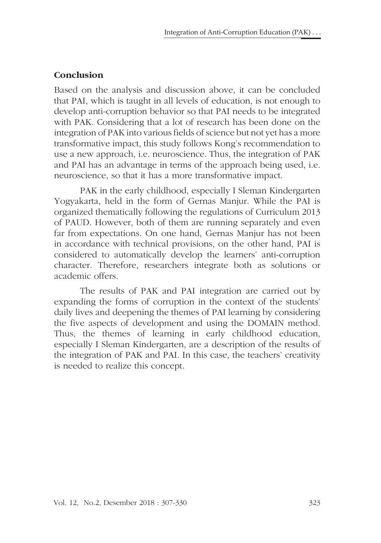### **Conclusion**

Based on the analysis and discussion above, it can be concluded that PAI, which is taught in all levels of education, is not enough to develop anti-corruption behavior so that PAI needs to be integrated with PAK. Considering that a lot of research has been done on the integration of PAK into various fields of science but not yet has a more transformative impact, this study follows Kong's recommendation to use a new approach, i.e. neuroscience. Thus, the integration of PAK and PAI has an advantage in terms of the approach being used, i.e. neuroscience, so that it has a more transformative impact.

PAK in the early childhood, especially I Sleman Kindergarten Yogyakarta, held in the form of Gernas Manjur. While the PAI is organized thematically following the regulations of Curriculum 2013 of PAUD. However, both of them are running separately and even far from expectations. On one hand, Gernas Manjur has not been in accordance with technical provisions, on the other hand, PAI is considered to automatically develop the learners' anti-corruption character. Therefore, researchers integrate both as solutions or academic offers.

The results of PAK and PAI integration are carried out by expanding the forms of corruption in the context of the students' daily lives and deepening the themes of PAI learning by considering the five aspects of development and using the DOMAIN method. Thus, the themes of learning in early childhood education, especially I Sleman Kindergarten, are a description of the results of the integration of PAK and PAI. In this case, the teachers' creativity is needed to realize this concept.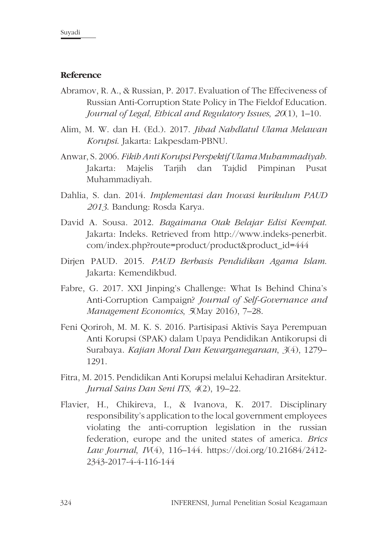#### **Reference**

- Abramov, R. A., & Russian, P. 2017. Evaluation of The Effeciveness of Russian Anti-Corruption State Policy in The Fieldof Education. *Journal of Legal, Ethical and Regulatory Issues*, *20*(1), 1–10.
- Alim, M. W. dan H. (Ed.). 2017. *Jihad Nahdlatul Ulama Melawan Korupsi*. Jakarta: Lakpesdam-PBNU.
- Anwar, S. 2006. *Fikih Anti Korupsi Perspektif Ulama Muhammadiyah*. Jakarta: Majelis Tarjih dan Tajdid Pimpinan Pusat Muhammadiyah.
- Dahlia, S. dan. 2014. *Implementasi dan Inovasi kurikulum PAUD 2013*. Bandung: Rosda Karya.
- David A. Sousa. 2012. *Bagaimana Otak Belajar Edisi Keempat*. Jakarta: Indeks. Retrieved from http://www.indeks-penerbit. com/index.php?route=product/product&product\_id=444
- Dirjen PAUD. 2015. *PAUD Berbasis Pendidikan Agama Islam*. Jakarta: Kemendikbud.
- Fabre, G. 2017. XXI Jinping's Challenge: What Is Behind China's Anti-Corruption Campaign? *Journal of Self-Governance and Management Economics*, *5*(May 2016), 7–28.
- Feni Qoriroh, M. M. K. S. 2016. Partisipasi Aktivis Saya Perempuan Anti Korupsi (SPAK) dalam Upaya Pendidikan Antikorupsi di Surabaya. *Kajian Moral Dan Kewarganegaraan*, *3*(4), 1279– 1291.
- Fitra, M. 2015. Pendidikan Anti Korupsi melalui Kehadiran Arsitektur. *Jurnal Sains Dan Seni ITS*, *4*(2), 19–22.
- Flavier, H., Chikireva, I., & Ivanova, K. 2017. Disciplinary responsibility's application to the local government employees violating the anti-corruption legislation in the russian federation, europe and the united states of america. *Brics Law Journal*, *IV*(4), 116–144. https://doi.org/10.21684/2412- 2343-2017-4-4-116-144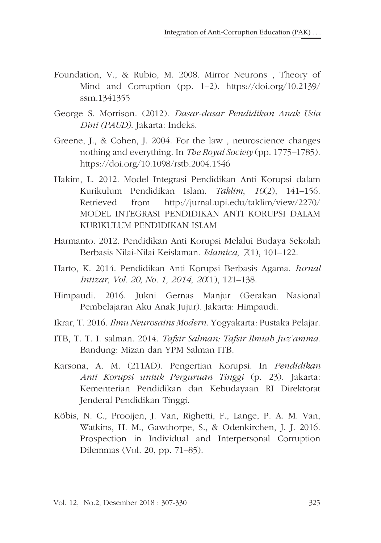- Foundation, V., & Rubio, M. 2008. Mirror Neurons , Theory of Mind and Corruption (pp. 1–2). https://doi.org/10.2139/ ssrn.1341355
- George S. Morrison. (2012). *Dasar-dasar Pendidikan Anak Usia Dini (PAUD)*. Jakarta: Indeks.
- Greene, J., & Cohen, J. 2004. For the law , neuroscience changes nothing and everything. In *The Royal Society* (pp. 1775–1785). https://doi.org/10.1098/rstb.2004.1546
- Hakim, L. 2012. Model Integrasi Pendidikan Anti Korupsi dalam Kurikulum Pendidikan Islam. *Taklim*, *10*(2), 141–156. Retrieved from http://jurnal.upi.edu/taklim/view/2270/ MODEL INTEGRASI PENDIDIKAN ANTI KORUPSI DALAM KURIKULUM PENDIDIKAN ISLAM
- Harmanto. 2012. Pendidikan Anti Korupsi Melalui Budaya Sekolah Berbasis Nilai-Nilai Keislaman. *Islamica*, *7*(1), 101–122.
- Harto, K. 2014. Pendidikan Anti Korupsi Berbasis Agama. *Iurnal Intizar, Vol. 20, No. 1, 2014*, *20*(1), 121–138.
- Himpaudi. 2016. Jukni Gernas Manjur (Gerakan Nasional Pembelajaran Aku Anak Jujur). Jakarta: Himpaudi.
- Ikrar, T. 2016. *Ilmu Neurosains Modern*. Yogyakarta: Pustaka Pelajar.
- ITB, T. T. I. salman. 2014. *Tafsir Salman: Tafsir Ilmiah Juz'amma*. Bandung: Mizan dan YPM Salman ITB.
- Karsona, A. M. (211AD). Pengertian Korupsi. In *Pendidikan Anti Korupsi untuk Perguruan Tinggi* (p. 23). Jakarta: Kementerian Pendidikan dan Kebudayaan RI Direktorat Jenderal Pendidikan Tinggi.
- Köbis, N. C., Prooijen, J. Van, Righetti, F., Lange, P. A. M. Van, Watkins, H. M., Gawthorpe, S., & Odenkirchen, J. J. 2016. Prospection in Individual and Interpersonal Corruption Dilemmas (Vol. 20, pp. 71–85).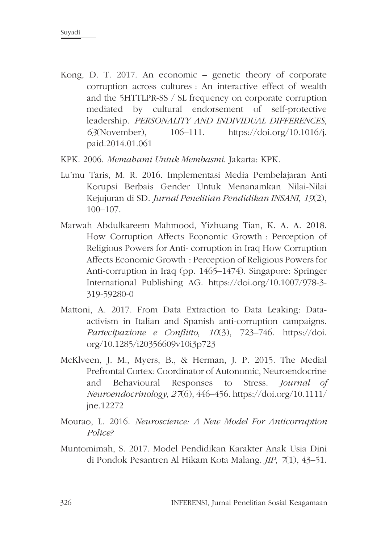- Kong, D. T. 2017. An economic genetic theory of corporate corruption across cultures : An interactive effect of wealth and the 5HTTLPR-SS / SL frequency on corporate corruption mediated by cultural endorsement of self-protective leadership. *PERSONALITY AND INDIVIDUAL DIFFERENCES*, *63*(November), 106–111. https://doi.org/10.1016/j. paid.2014.01.061
- KPK. 2006. *Memahami Untuk Membasmi*. Jakarta: KPK.
- Lu'mu Taris, M. R. 2016. Implementasi Media Pembelajaran Anti Korupsi Berbais Gender Untuk Menanamkan Nilai-Nilai Kejujuran di SD. *Jurnal Penelitian Pendidikan INSANI*, *19*(2), 100–107.
- Marwah Abdulkareem Mahmood, Yizhuang Tian, K. A. A. 2018. How Corruption Affects Economic Growth : Perception of Religious Powers for Anti- corruption in Iraq How Corruption Affects Economic Growth : Perception of Religious Powers for Anti-corruption in Iraq (pp. 1465–1474). Singapore: Springer International Publishing AG. https://doi.org/10.1007/978-3- 319-59280-0
- Mattoni, A. 2017. From Data Extraction to Data Leaking: Dataactivism in Italian and Spanish anti-corruption campaigns. *Partecipazione e Conflitto*, *10*(3), 723–746. https://doi. org/10.1285/i20356609v10i3p723
- McKlveen, J. M., Myers, B., & Herman, J. P. 2015. The Medial Prefrontal Cortex: Coordinator of Autonomic, Neuroendocrine and Behavioural Responses to Stress. *Journal of Neuroendocrinology*, *27*(6), 446–456. https://doi.org/10.1111/ jne.12272
- Mourao, L. 2016. *Neuroscience: A New Model For Anticorruption Police?*
- Muntomimah, S. 2017. Model Pendidikan Karakter Anak Usia Dini di Pondok Pesantren Al Hikam Kota Malang. *JIP*, *7*(1), 43–51.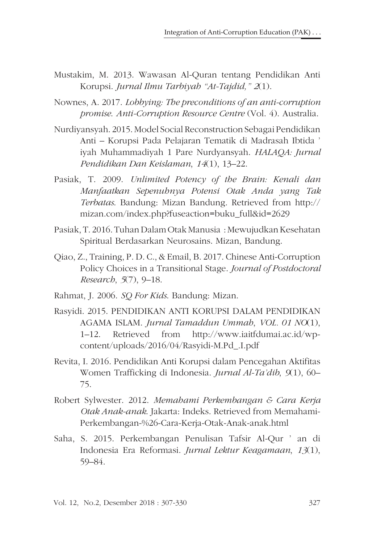- Mustakim, M. 2013. Wawasan Al-Quran tentang Pendidikan Anti Korupsi. *Jurnal Ilmu Tarbiyah "At-Tajdid," 2*(1).
- Nownes, A. 2017. *Lobbying: The preconditions of an anti-corruption promise*. *Anti-Corruption Resource Centre* (Vol. 4). Australia.
- Nurdiyansyah. 2015. Model Social Reconstruction Sebagai Pendidikan Anti – Korupsi Pada Pelajaran Tematik di Madrasah Ibtida ' iyah Muhammadiyah 1 Pare Nurdyansyah. *HALAQA: Jurnal Pendidikan Dan Keislaman*, *14*(1), 13–22.
- Pasiak, T. 2009. *Unlimited Potency of the Brain: Kenali dan Manfaatkan Sepenuhnya Potensi Otak Anda yang Tak Terbatas*. Bandung: Mizan Bandung. Retrieved from http:// mizan.com/index.php?fuseaction=buku\_full&id=2629
- Pasiak, T. 2016. Tuhan Dalam Otak Manusia : Mewujudkan Kesehatan Spiritual Berdasarkan Neurosains. Mizan, Bandung.
- Qiao, Z., Training, P. D. C., & Email, B. 2017. Chinese Anti-Corruption Policy Choices in a Transitional Stage. *Journal of Postdoctoral Research*, *5*(7), 9–18.
- Rahmat, J. 2006. *SQ For Kids*. Bandung: Mizan.
- Rasyidi. 2015. PENDIDIKAN ANTI KORUPSI DALAM PENDIDIKAN AGAMA ISLAM. *Jurnal Tamaddun Ummah*, *VOL. 01 NO*(1), 1–12. Retrieved from http://www.iaitfdumai.ac.id/wpcontent/uploads/2016/04/Rasyidi-M.Pd\_.I.pdf
- Revita, I. 2016. Pendidikan Anti Korupsi dalam Pencegahan Aktifitas Women Trafficking di Indonesia. *Jurnal Al-Ta'dib*, *9*(1), 60– 75.
- Robert Sylwester. 2012. *Memahami Perkembangan & Cara Kerja Otak Anak-anak*. Jakarta: Indeks. Retrieved from Memahami-Perkembangan-%26-Cara-Kerja-Otak-Anak-anak.html
- Saha, S. 2015. Perkembangan Penulisan Tafsir Al-Qur ' an di Indonesia Era Reformasi. *Jurnal Lektur Keagamaan*, *13*(1), 59–84.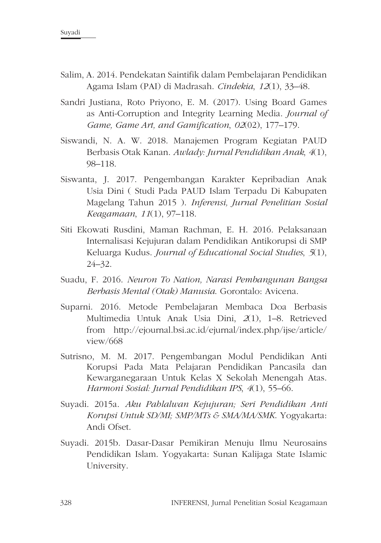- Salim, A. 2014. Pendekatan Saintifik dalam Pembelajaran Pendidikan Agama Islam (PAI) di Madrasah. *Cindekia*, *12*(1), 33–48.
- Sandri Justiana, Roto Priyono, E. M. (2017). Using Board Games as Anti-Corruption and Integrity Learning Media. *Journal of Game, Game Art, and Gamification*, *02*(02), 177–179.
- Siswandi, N. A. W. 2018. Manajemen Program Kegiatan PAUD Berbasis Otak Kanan. *Awlady: Jurnal Pendidikan Anak*, *4*(1), 98–118.
- Siswanta, J. 2017. Pengembangan Karakter Kepribadian Anak Usia Dini ( Studi Pada PAUD Islam Terpadu Di Kabupaten Magelang Tahun 2015 ). *Inferensi, Jurnal Penelitian Sosial Keagamaan*, *11*(1), 97–118.
- Siti Ekowati Rusdini, Maman Rachman, E. H. 2016. Pelaksanaan Internalisasi Kejujuran dalam Pendidikan Antikorupsi di SMP Keluarga Kudus. *Journal of Educational Social Studies*, *5*(1), 24–32.
- Suadu, F. 2016. *Neuron To Nation, Narasi Pembangunan Bangsa Berbasis Mental (Otak) Manusia*. Gorontalo: Avicena.
- Suparni. 2016. Metode Pembelajaran Membaca Doa Berbasis Multimedia Untuk Anak Usia Dini, *2*(1), 1–8. Retrieved from http://ejournal.bsi.ac.id/ejurnal/index.php/ijse/article/ view/668
- Sutrisno, M. M. 2017. Pengembangan Modul Pendidikan Anti Korupsi Pada Mata Pelajaran Pendidikan Pancasila dan Kewarganegaraan Untuk Kelas X Sekolah Menengah Atas. *Harmoni Sosial: Jurnal Pendidikan IPS*, *4*(1), 55–66.
- Suyadi. 2015a. *Aku Pahlalwan Kejujuran; Seri Pendidikan Anti Korupsi Untuk SD/MI; SMP/MTs & SMA/MA/SMK*. Yogyakarta: Andi Ofset.
- Suyadi. 2015b. Dasar-Dasar Pemikiran Menuju Ilmu Neurosains Pendidikan Islam. Yogyakarta: Sunan Kalijaga State Islamic University.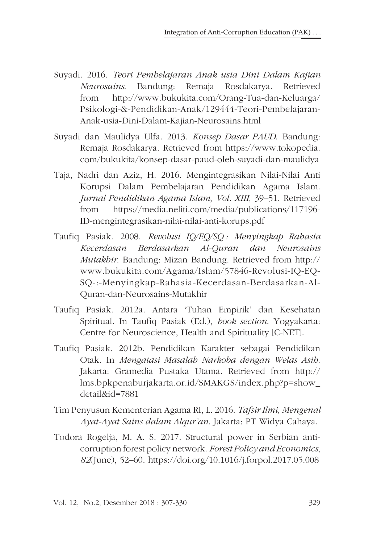- Suyadi. 2016. *Teori Pembelajaran Anak usia Dini Dalam Kajian Neurosains*. Bandung: Remaja Rosdakarya. Retrieved from http://www.bukukita.com/Orang-Tua-dan-Keluarga/ Psikologi-&-Pendidikan-Anak/129444-Teori-Pembelajaran-Anak-usia-Dini-Dalam-Kajian-Neurosains.html
- Suyadi dan Maulidya Ulfa. 2013. *Konsep Dasar PAUD*. Bandung: Remaja Rosdakarya. Retrieved from https://www.tokopedia. com/bukukita/konsep-dasar-paud-oleh-suyadi-dan-maulidya
- Taja, Nadri dan Aziz, H. 2016. Mengintegrasikan Nilai-Nilai Anti Korupsi Dalam Pembelajaran Pendidikan Agama Islam. *Jurnal Pendidikan Agama Islam*, *Vol. XIII,* 39–51. Retrieved from https://media.neliti.com/media/publications/117196- ID-mengintegrasikan-nilai-nilai-anti-korups.pdf
- Taufiq Pasiak. 2008. *Revolusi IQ/EQ/SQ : Menyingkap Rahasia Kecerdasan Berdasarkan Al-Quran dan Neurosains Mutakhir*. Bandung: Mizan Bandung. Retrieved from http:// www.bukukita.com/Agama/Islam/57846-Revolusi-IQ-EQ-SQ-:-Menyingkap-Rahasia-Kecerdasan-Berdasarkan-Al-Quran-dan-Neurosains-Mutakhir
- Taufiq Pasiak. 2012a. Antara 'Tuhan Empirik' dan Kesehatan Spiritual. In Taufiq Pasiak (Ed.), *book section*. Yogyakarta: Centre for Neuroscience, Health and Spirituality [C-NET].
- Taufiq Pasiak. 2012b. Pendidikan Karakter sebagai Pendidikan Otak. In *Mengatasi Masalah Narkoba dengan Welas Asih*. Jakarta: Gramedia Pustaka Utama. Retrieved from http:// lms.bpkpenaburjakarta.or.id/SMAKGS/index.php?p=show\_ detail&id=7881
- Tim Penyusun Kementerian Agama RI, L. 2016. *Tafsir Ilmi, Mengenal Ayat-Ayat Sains dalam Alqur'an*. Jakarta: PT Widya Cahaya.
- Todora Rogelja, M. A. S. 2017. Structural power in Serbian anticorruption forest policy network. *Forest Policy and Economics*, *82*(June), 52–60. https://doi.org/10.1016/j.forpol.2017.05.008